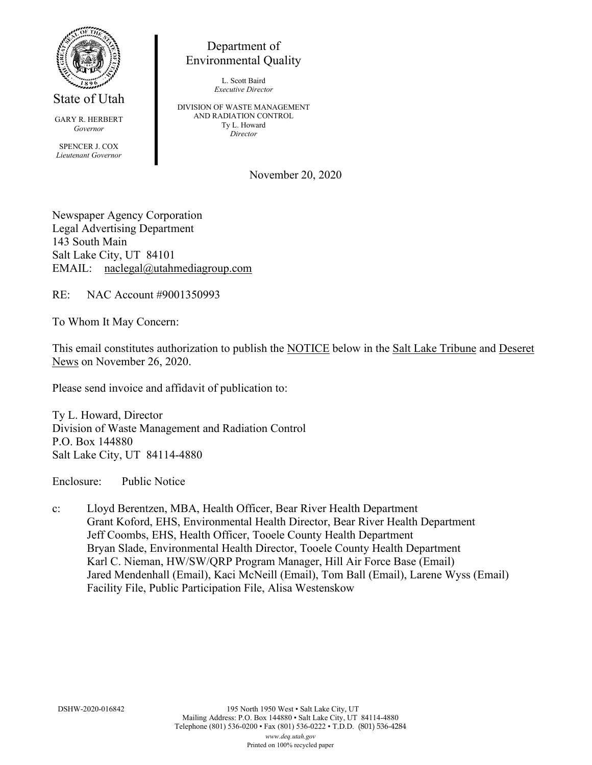

State of Utah

GARY R. HERBERT *Governor* SPENCER J. COX *Lieutenant Governor*

Department of Environmental Quality

> L. Scott Baird *Executive Director*

DIVISION OF WASTE MANAGEMENT AND RADIATION CONTROL Ty L. Howard *Director*

November 20, 2020

Newspaper Agency Corporation Legal Advertising Department 143 South Main Salt Lake City, UT 84101 EMAIL: naclegal@utahmediagroup.com

RE: NAC Account #9001350993

To Whom It May Concern:

This email constitutes authorization to publish the NOTICE below in the Salt Lake Tribune and Deseret News on November 26, 2020.

Please send invoice and affidavit of publication to:

Ty L. Howard, Director Division of Waste Management and Radiation Control P.O. Box 144880 Salt Lake City, UT 84114-4880

Enclosure: Public Notice

c: Lloyd Berentzen, MBA, Health Officer, Bear River Health Department Grant Koford, EHS, Environmental Health Director, Bear River Health Department Jeff Coombs, EHS, Health Officer, Tooele County Health Department Bryan Slade, Environmental Health Director, Tooele County Health Department Karl C. Nieman, HW/SW/QRP Program Manager, Hill Air Force Base (Email) Jared Mendenhall (Email), Kaci McNeill (Email), Tom Ball (Email), Larene Wyss (Email) Facility File, Public Participation File, Alisa Westenskow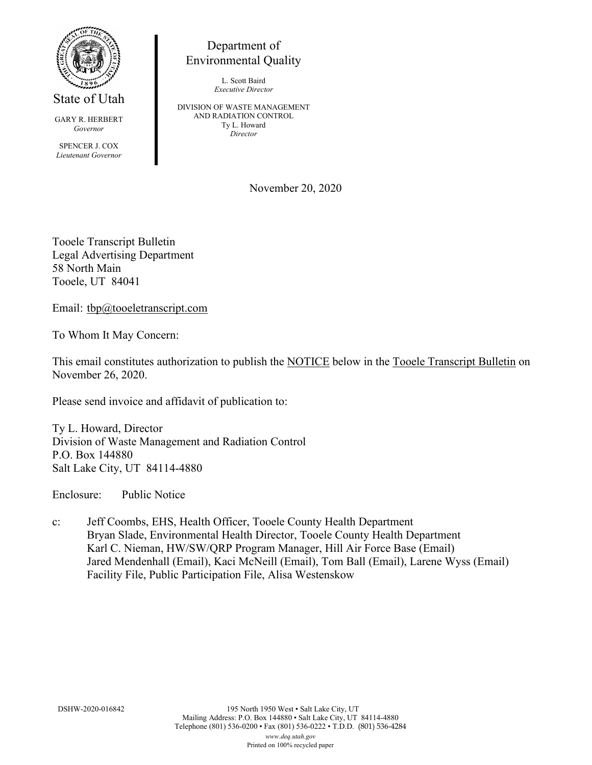

State of Utah

GARY R. HERBERT *Governor*

SPENCER J. COX *Lieutenant Governor*

Department of Environmental Quality

> L. Scott Baird *Executive Director*

DIVISION OF WASTE MANAGEMENT AND RADIATION CONTROL Ty L. Howard *Director*

November 20, 2020

Tooele Transcript Bulletin Legal Advertising Department 58 North Main Tooele, UT 84041

Email: tbp@tooeletranscript.com

To Whom It May Concern:

This email constitutes authorization to publish the NOTICE below in the Tooele Transcript Bulletin on November 26, 2020.

Please send invoice and affidavit of publication to:

Ty L. Howard, Director Division of Waste Management and Radiation Control P.O. Box 144880 Salt Lake City, UT 84114-4880

Enclosure: Public Notice

c: Jeff Coombs, EHS, Health Officer, Tooele County Health Department Bryan Slade, Environmental Health Director, Tooele County Health Department Karl C. Nieman, HW/SW/QRP Program Manager, Hill Air Force Base (Email) Jared Mendenhall (Email), Kaci McNeill (Email), Tom Ball (Email), Larene Wyss (Email) Facility File, Public Participation File, Alisa Westenskow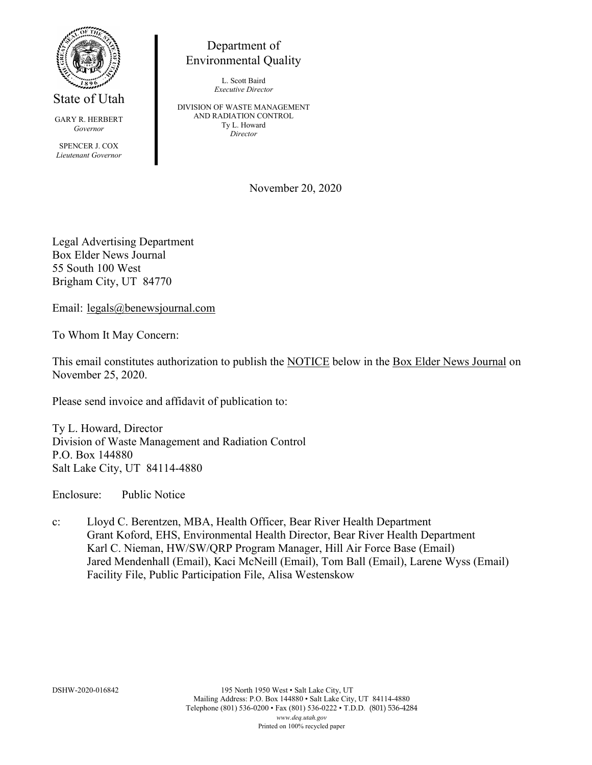

State of Utah

GARY R. HERBERT *Governor*

SPENCER J. COX *Lieutenant Governor*

Department of Environmental Quality

> L. Scott Baird *Executive Director*

DIVISION OF WASTE MANAGEMENT AND RADIATION CONTROL Ty L. Howard *Director*

November 20, 2020

Legal Advertising Department Box Elder News Journal 55 South 100 West Brigham City, UT 84770

Email: legals@benewsjournal.com

To Whom It May Concern:

This email constitutes authorization to publish the NOTICE below in the Box Elder News Journal on November 25, 2020.

Please send invoice and affidavit of publication to:

Ty L. Howard, Director Division of Waste Management and Radiation Control P.O. Box 144880 Salt Lake City, UT 84114-4880

Enclosure: Public Notice

c: Lloyd C. Berentzen, MBA, Health Officer, Bear River Health Department Grant Koford, EHS, Environmental Health Director, Bear River Health Department Karl C. Nieman, HW/SW/QRP Program Manager, Hill Air Force Base (Email) Jared Mendenhall (Email), Kaci McNeill (Email), Tom Ball (Email), Larene Wyss (Email) Facility File, Public Participation File, Alisa Westenskow